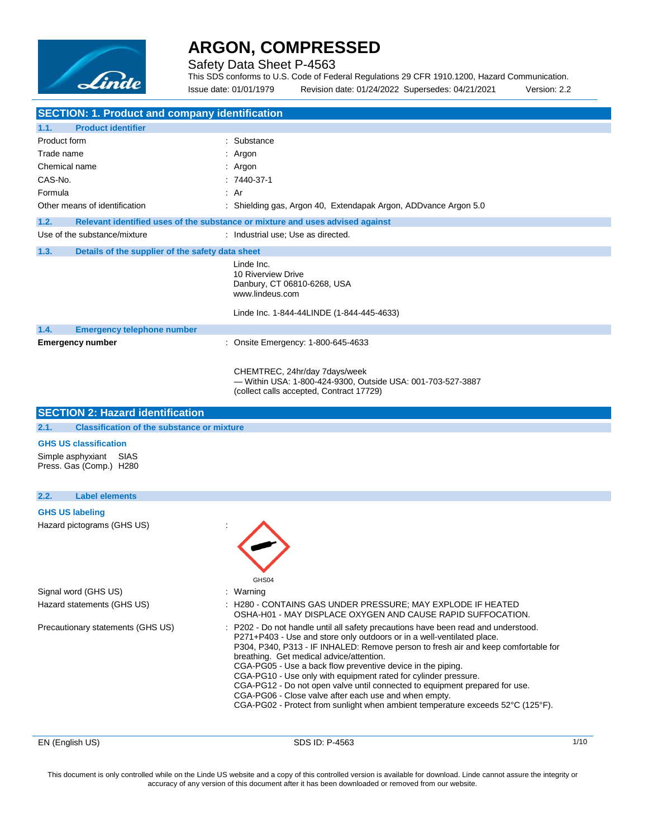

### Safety Data Sheet P-4563

This SDS conforms to U.S. Code of Federal Regulations 29 CFR 1910.1200, Hazard Communication. Issue date: 01/01/1979 Revision date: 01/24/2022 Supersedes: 04/21/2021 Version: 2.2

| <b>SECTION: 1. Product and company identification</b>                |                                                                                                                                                                                                                                                                                                                                                                                                                                                                                                                                                                                                                                                             |
|----------------------------------------------------------------------|-------------------------------------------------------------------------------------------------------------------------------------------------------------------------------------------------------------------------------------------------------------------------------------------------------------------------------------------------------------------------------------------------------------------------------------------------------------------------------------------------------------------------------------------------------------------------------------------------------------------------------------------------------------|
| 1.1.<br><b>Product identifier</b>                                    |                                                                                                                                                                                                                                                                                                                                                                                                                                                                                                                                                                                                                                                             |
| Product form                                                         | : Substance                                                                                                                                                                                                                                                                                                                                                                                                                                                                                                                                                                                                                                                 |
| Trade name                                                           | : Argon                                                                                                                                                                                                                                                                                                                                                                                                                                                                                                                                                                                                                                                     |
| Chemical name                                                        | : Argon                                                                                                                                                                                                                                                                                                                                                                                                                                                                                                                                                                                                                                                     |
| CAS-No.                                                              | $: 7440-37-1$                                                                                                                                                                                                                                                                                                                                                                                                                                                                                                                                                                                                                                               |
| Formula                                                              | : Ar                                                                                                                                                                                                                                                                                                                                                                                                                                                                                                                                                                                                                                                        |
| Other means of identification                                        | : Shielding gas, Argon 40, Extendapak Argon, ADDvance Argon 5.0                                                                                                                                                                                                                                                                                                                                                                                                                                                                                                                                                                                             |
| 1.2.                                                                 | Relevant identified uses of the substance or mixture and uses advised against                                                                                                                                                                                                                                                                                                                                                                                                                                                                                                                                                                               |
| Use of the substance/mixture                                         | : Industrial use; Use as directed.                                                                                                                                                                                                                                                                                                                                                                                                                                                                                                                                                                                                                          |
| 1.3.<br>Details of the supplier of the safety data sheet             |                                                                                                                                                                                                                                                                                                                                                                                                                                                                                                                                                                                                                                                             |
|                                                                      | Linde Inc.<br>10 Riverview Drive<br>Danbury, CT 06810-6268, USA<br>www.lindeus.com<br>Linde Inc. 1-844-44LINDE (1-844-445-4633)                                                                                                                                                                                                                                                                                                                                                                                                                                                                                                                             |
|                                                                      |                                                                                                                                                                                                                                                                                                                                                                                                                                                                                                                                                                                                                                                             |
| 1.4.<br><b>Emergency telephone number</b><br><b>Emergency number</b> | : Onsite Emergency: 1-800-645-4633                                                                                                                                                                                                                                                                                                                                                                                                                                                                                                                                                                                                                          |
|                                                                      | CHEMTREC, 24hr/day 7days/week<br>- Within USA: 1-800-424-9300, Outside USA: 001-703-527-3887<br>(collect calls accepted, Contract 17729)                                                                                                                                                                                                                                                                                                                                                                                                                                                                                                                    |
| <b>SECTION 2: Hazard identification</b>                              |                                                                                                                                                                                                                                                                                                                                                                                                                                                                                                                                                                                                                                                             |
| 2.1.<br><b>Classification of the substance or mixture</b>            |                                                                                                                                                                                                                                                                                                                                                                                                                                                                                                                                                                                                                                                             |
| <b>GHS US classification</b>                                         |                                                                                                                                                                                                                                                                                                                                                                                                                                                                                                                                                                                                                                                             |
| Simple asphyxiant<br>SIAS<br>Press. Gas (Comp.) H280                 |                                                                                                                                                                                                                                                                                                                                                                                                                                                                                                                                                                                                                                                             |
| 2.2.<br><b>Label elements</b>                                        |                                                                                                                                                                                                                                                                                                                                                                                                                                                                                                                                                                                                                                                             |
| <b>GHS US labeling</b>                                               |                                                                                                                                                                                                                                                                                                                                                                                                                                                                                                                                                                                                                                                             |
| Hazard pictograms (GHS US)                                           | GHS04                                                                                                                                                                                                                                                                                                                                                                                                                                                                                                                                                                                                                                                       |
| Signal word (GHS US)                                                 | : Warning                                                                                                                                                                                                                                                                                                                                                                                                                                                                                                                                                                                                                                                   |
| Hazard statements (GHS US)                                           | : H280 - CONTAINS GAS UNDER PRESSURE; MAY EXPLODE IF HEATED<br>OSHA-H01 - MAY DISPLACE OXYGEN AND CAUSE RAPID SUFFOCATION.                                                                                                                                                                                                                                                                                                                                                                                                                                                                                                                                  |
| Precautionary statements (GHS US)                                    | : P202 - Do not handle until all safety precautions have been read and understood.<br>P271+P403 - Use and store only outdoors or in a well-ventilated place.<br>P304, P340, P313 - IF INHALED: Remove person to fresh air and keep comfortable for<br>breathing. Get medical advice/attention.<br>CGA-PG05 - Use a back flow preventive device in the piping.<br>CGA-PG10 - Use only with equipment rated for cylinder pressure.<br>CGA-PG12 - Do not open valve until connected to equipment prepared for use.<br>CGA-PG06 - Close valve after each use and when empty.<br>CGA-PG02 - Protect from sunlight when ambient temperature exceeds 52°C (125°F). |

EN (English US) 3DS ID: P-4563 1/10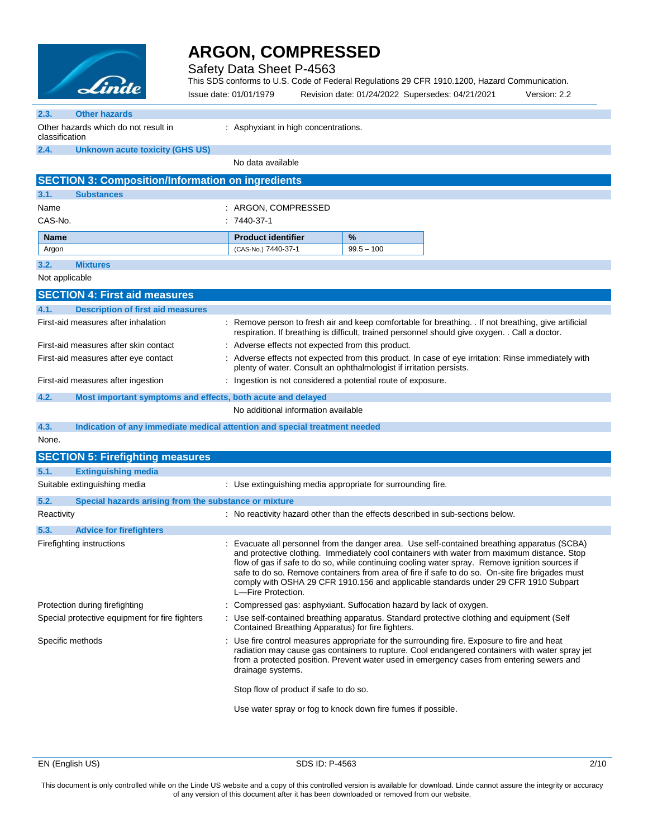

Safety Data Sheet P-4563

This SDS conforms to U.S. Code of Federal Regulations 29 CFR 1910.1200, Hazard Communication.

|                  | <u>Aran</u>                                                                |                   | Issue date: 01/01/1979                 |                                                                                                                                                                                                                                                                                            | Revision date: 01/24/2022 Supersedes: 04/21/2021                                                                                                                                                                                                                                                                                                                                                                                                                                        | Version: 2.2 |
|------------------|----------------------------------------------------------------------------|-------------------|----------------------------------------|--------------------------------------------------------------------------------------------------------------------------------------------------------------------------------------------------------------------------------------------------------------------------------------------|-----------------------------------------------------------------------------------------------------------------------------------------------------------------------------------------------------------------------------------------------------------------------------------------------------------------------------------------------------------------------------------------------------------------------------------------------------------------------------------------|--------------|
| 2.3.             | <b>Other hazards</b>                                                       |                   |                                        |                                                                                                                                                                                                                                                                                            |                                                                                                                                                                                                                                                                                                                                                                                                                                                                                         |              |
| classification   | Other hazards which do not result in                                       |                   | : Asphyxiant in high concentrations.   |                                                                                                                                                                                                                                                                                            |                                                                                                                                                                                                                                                                                                                                                                                                                                                                                         |              |
| 2.4.             | <b>Unknown acute toxicity (GHS US)</b>                                     |                   |                                        |                                                                                                                                                                                                                                                                                            |                                                                                                                                                                                                                                                                                                                                                                                                                                                                                         |              |
|                  |                                                                            |                   | No data available                      |                                                                                                                                                                                                                                                                                            |                                                                                                                                                                                                                                                                                                                                                                                                                                                                                         |              |
|                  | <b>SECTION 3: Composition/Information on ingredients</b>                   |                   |                                        |                                                                                                                                                                                                                                                                                            |                                                                                                                                                                                                                                                                                                                                                                                                                                                                                         |              |
| 3.1.             | <b>Substances</b>                                                          |                   |                                        |                                                                                                                                                                                                                                                                                            |                                                                                                                                                                                                                                                                                                                                                                                                                                                                                         |              |
| Name             |                                                                            |                   | : ARGON, COMPRESSED                    |                                                                                                                                                                                                                                                                                            |                                                                                                                                                                                                                                                                                                                                                                                                                                                                                         |              |
| CAS-No.          |                                                                            |                   | $:7440-37-1$                           |                                                                                                                                                                                                                                                                                            |                                                                                                                                                                                                                                                                                                                                                                                                                                                                                         |              |
| <b>Name</b>      |                                                                            |                   | <b>Product identifier</b>              | %                                                                                                                                                                                                                                                                                          |                                                                                                                                                                                                                                                                                                                                                                                                                                                                                         |              |
| Argon            |                                                                            |                   | (CAS-No.) 7440-37-1                    | $99.5 - 100$                                                                                                                                                                                                                                                                               |                                                                                                                                                                                                                                                                                                                                                                                                                                                                                         |              |
| 3.2.             | <b>Mixtures</b>                                                            |                   |                                        |                                                                                                                                                                                                                                                                                            |                                                                                                                                                                                                                                                                                                                                                                                                                                                                                         |              |
| Not applicable   |                                                                            |                   |                                        |                                                                                                                                                                                                                                                                                            |                                                                                                                                                                                                                                                                                                                                                                                                                                                                                         |              |
|                  | <b>SECTION 4: First aid measures</b>                                       |                   |                                        |                                                                                                                                                                                                                                                                                            |                                                                                                                                                                                                                                                                                                                                                                                                                                                                                         |              |
| 4.1.             | <b>Description of first aid measures</b>                                   |                   |                                        |                                                                                                                                                                                                                                                                                            |                                                                                                                                                                                                                                                                                                                                                                                                                                                                                         |              |
|                  | First-aid measures after inhalation                                        |                   |                                        |                                                                                                                                                                                                                                                                                            | : Remove person to fresh air and keep comfortable for breathing. If not breathing, give artificial<br>respiration. If breathing is difficult, trained personnel should give oxygen. . Call a doctor.                                                                                                                                                                                                                                                                                    |              |
|                  | First-aid measures after skin contact                                      |                   |                                        | : Adverse effects not expected from this product.                                                                                                                                                                                                                                          |                                                                                                                                                                                                                                                                                                                                                                                                                                                                                         |              |
|                  | First-aid measures after eye contact                                       |                   |                                        | plenty of water. Consult an ophthalmologist if irritation persists.                                                                                                                                                                                                                        | : Adverse effects not expected from this product. In case of eye irritation: Rinse immediately with                                                                                                                                                                                                                                                                                                                                                                                     |              |
|                  | First-aid measures after ingestion                                         |                   |                                        | : Ingestion is not considered a potential route of exposure.                                                                                                                                                                                                                               |                                                                                                                                                                                                                                                                                                                                                                                                                                                                                         |              |
| 4.2.             | Most important symptoms and effects, both acute and delayed                |                   |                                        |                                                                                                                                                                                                                                                                                            |                                                                                                                                                                                                                                                                                                                                                                                                                                                                                         |              |
|                  |                                                                            |                   | No additional information available    |                                                                                                                                                                                                                                                                                            |                                                                                                                                                                                                                                                                                                                                                                                                                                                                                         |              |
| 4.3.             | Indication of any immediate medical attention and special treatment needed |                   |                                        |                                                                                                                                                                                                                                                                                            |                                                                                                                                                                                                                                                                                                                                                                                                                                                                                         |              |
| None.            |                                                                            |                   |                                        |                                                                                                                                                                                                                                                                                            |                                                                                                                                                                                                                                                                                                                                                                                                                                                                                         |              |
|                  | <b>SECTION 5: Firefighting measures</b>                                    |                   |                                        |                                                                                                                                                                                                                                                                                            |                                                                                                                                                                                                                                                                                                                                                                                                                                                                                         |              |
| 5.1.             | <b>Extinguishing media</b>                                                 |                   |                                        |                                                                                                                                                                                                                                                                                            |                                                                                                                                                                                                                                                                                                                                                                                                                                                                                         |              |
|                  | Suitable extinguishing media                                               |                   |                                        | : Use extinguishing media appropriate for surrounding fire.                                                                                                                                                                                                                                |                                                                                                                                                                                                                                                                                                                                                                                                                                                                                         |              |
| 5.2.             | Special hazards arising from the substance or mixture                      |                   |                                        |                                                                                                                                                                                                                                                                                            |                                                                                                                                                                                                                                                                                                                                                                                                                                                                                         |              |
| Reactivity       |                                                                            |                   |                                        |                                                                                                                                                                                                                                                                                            | : No reactivity hazard other than the effects described in sub-sections below.                                                                                                                                                                                                                                                                                                                                                                                                          |              |
| 5.3.             | <b>Advice for firefighters</b>                                             |                   |                                        |                                                                                                                                                                                                                                                                                            |                                                                                                                                                                                                                                                                                                                                                                                                                                                                                         |              |
|                  | Firefighting instructions                                                  |                   | L-Fire Protection.                     |                                                                                                                                                                                                                                                                                            | : Evacuate all personnel from the danger area. Use self-contained breathing apparatus (SCBA)<br>and protective clothing. Immediately cool containers with water from maximum distance. Stop<br>flow of gas if safe to do so, while continuing cooling water spray. Remove ignition sources if<br>safe to do so. Remove containers from area of fire if safe to do so. On-site fire brigades must<br>comply with OSHA 29 CFR 1910.156 and applicable standards under 29 CFR 1910 Subpart |              |
|                  | Protection during firefighting                                             |                   |                                        | Compressed gas: asphyxiant. Suffocation hazard by lack of oxygen.                                                                                                                                                                                                                          |                                                                                                                                                                                                                                                                                                                                                                                                                                                                                         |              |
|                  | Special protective equipment for fire fighters                             |                   |                                        | Contained Breathing Apparatus) for fire fighters.                                                                                                                                                                                                                                          | : Use self-contained breathing apparatus. Standard protective clothing and equipment (Self                                                                                                                                                                                                                                                                                                                                                                                              |              |
| Specific methods |                                                                            | drainage systems. |                                        | : Use fire control measures appropriate for the surrounding fire. Exposure to fire and heat<br>radiation may cause gas containers to rupture. Cool endangered containers with water spray jet<br>from a protected position. Prevent water used in emergency cases from entering sewers and |                                                                                                                                                                                                                                                                                                                                                                                                                                                                                         |              |
|                  |                                                                            |                   | Stop flow of product if safe to do so. |                                                                                                                                                                                                                                                                                            |                                                                                                                                                                                                                                                                                                                                                                                                                                                                                         |              |
|                  |                                                                            |                   |                                        | Use water spray or fog to knock down fire fumes if possible.                                                                                                                                                                                                                               |                                                                                                                                                                                                                                                                                                                                                                                                                                                                                         |              |

EN (English US) SDS ID: P-4563 2/10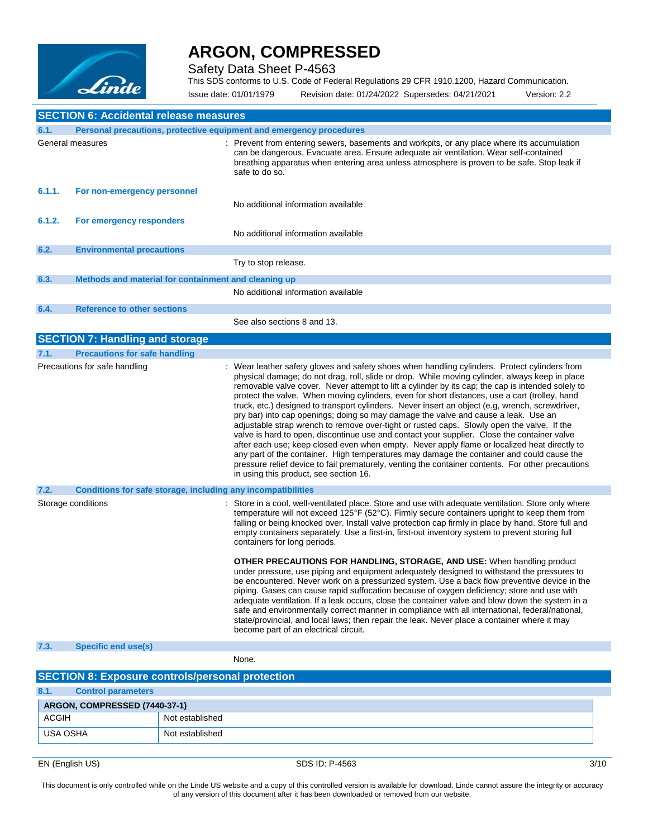

Safety Data Sheet P-4563

This SDS conforms to U.S. Code of Federal Regulations 29 CFR 1910.1200, Hazard Communication.

Issue date: 01/01/1979 Revision date: 01/24/2022 Supersedes: 04/21/2021 Version: 2.2

|        | <b>SECTION 6: Accidental release measures</b>                       |                                                                                                                                                                                                                                                                                                                                                                                                                                                                                                                                                                                                                                                                                                                                                                                                                                                                                                                                                                                                                                                                                                                                         |
|--------|---------------------------------------------------------------------|-----------------------------------------------------------------------------------------------------------------------------------------------------------------------------------------------------------------------------------------------------------------------------------------------------------------------------------------------------------------------------------------------------------------------------------------------------------------------------------------------------------------------------------------------------------------------------------------------------------------------------------------------------------------------------------------------------------------------------------------------------------------------------------------------------------------------------------------------------------------------------------------------------------------------------------------------------------------------------------------------------------------------------------------------------------------------------------------------------------------------------------------|
| 6.1.   | Personal precautions, protective equipment and emergency procedures |                                                                                                                                                                                                                                                                                                                                                                                                                                                                                                                                                                                                                                                                                                                                                                                                                                                                                                                                                                                                                                                                                                                                         |
|        | General measures                                                    | : Prevent from entering sewers, basements and workpits, or any place where its accumulation<br>can be dangerous. Evacuate area. Ensure adequate air ventilation. Wear self-contained<br>breathing apparatus when entering area unless atmosphere is proven to be safe. Stop leak if<br>safe to do so.                                                                                                                                                                                                                                                                                                                                                                                                                                                                                                                                                                                                                                                                                                                                                                                                                                   |
| 6.1.1. | For non-emergency personnel                                         | No additional information available                                                                                                                                                                                                                                                                                                                                                                                                                                                                                                                                                                                                                                                                                                                                                                                                                                                                                                                                                                                                                                                                                                     |
| 6.1.2. | For emergency responders                                            |                                                                                                                                                                                                                                                                                                                                                                                                                                                                                                                                                                                                                                                                                                                                                                                                                                                                                                                                                                                                                                                                                                                                         |
|        |                                                                     | No additional information available                                                                                                                                                                                                                                                                                                                                                                                                                                                                                                                                                                                                                                                                                                                                                                                                                                                                                                                                                                                                                                                                                                     |
| 6.2.   | <b>Environmental precautions</b>                                    |                                                                                                                                                                                                                                                                                                                                                                                                                                                                                                                                                                                                                                                                                                                                                                                                                                                                                                                                                                                                                                                                                                                                         |
|        |                                                                     | Try to stop release.                                                                                                                                                                                                                                                                                                                                                                                                                                                                                                                                                                                                                                                                                                                                                                                                                                                                                                                                                                                                                                                                                                                    |
| 6.3.   | Methods and material for containment and cleaning up                |                                                                                                                                                                                                                                                                                                                                                                                                                                                                                                                                                                                                                                                                                                                                                                                                                                                                                                                                                                                                                                                                                                                                         |
|        |                                                                     | No additional information available                                                                                                                                                                                                                                                                                                                                                                                                                                                                                                                                                                                                                                                                                                                                                                                                                                                                                                                                                                                                                                                                                                     |
| 6.4.   | <b>Reference to other sections</b>                                  |                                                                                                                                                                                                                                                                                                                                                                                                                                                                                                                                                                                                                                                                                                                                                                                                                                                                                                                                                                                                                                                                                                                                         |
|        |                                                                     | See also sections 8 and 13.                                                                                                                                                                                                                                                                                                                                                                                                                                                                                                                                                                                                                                                                                                                                                                                                                                                                                                                                                                                                                                                                                                             |
|        | <b>SECTION 7: Handling and storage</b>                              |                                                                                                                                                                                                                                                                                                                                                                                                                                                                                                                                                                                                                                                                                                                                                                                                                                                                                                                                                                                                                                                                                                                                         |
| 7.1.   | <b>Precautions for safe handling</b>                                |                                                                                                                                                                                                                                                                                                                                                                                                                                                                                                                                                                                                                                                                                                                                                                                                                                                                                                                                                                                                                                                                                                                                         |
|        | Precautions for safe handling                                       | : Wear leather safety gloves and safety shoes when handling cylinders. Protect cylinders from<br>physical damage; do not drag, roll, slide or drop. While moving cylinder, always keep in place<br>removable valve cover. Never attempt to lift a cylinder by its cap; the cap is intended solely to<br>protect the valve. When moving cylinders, even for short distances, use a cart (trolley, hand<br>truck, etc.) designed to transport cylinders. Never insert an object (e.g. wrench, screwdriver,<br>pry bar) into cap openings; doing so may damage the valve and cause a leak. Use an<br>adjustable strap wrench to remove over-tight or rusted caps. Slowly open the valve. If the<br>valve is hard to open, discontinue use and contact your supplier. Close the container valve<br>after each use; keep closed even when empty. Never apply flame or localized heat directly to<br>any part of the container. High temperatures may damage the container and could cause the<br>pressure relief device to fail prematurely, venting the container contents. For other precautions<br>in using this product, see section 16. |
| 7.2.   | Conditions for safe storage, including any incompatibilities        |                                                                                                                                                                                                                                                                                                                                                                                                                                                                                                                                                                                                                                                                                                                                                                                                                                                                                                                                                                                                                                                                                                                                         |
|        | Storage conditions                                                  | : Store in a cool, well-ventilated place. Store and use with adequate ventilation. Store only where<br>temperature will not exceed 125°F (52°C). Firmly secure containers upright to keep them from<br>falling or being knocked over. Install valve protection cap firmly in place by hand. Store full and<br>empty containers separately. Use a first-in, first-out inventory system to prevent storing full<br>containers for long periods.                                                                                                                                                                                                                                                                                                                                                                                                                                                                                                                                                                                                                                                                                           |
|        |                                                                     | <b>OTHER PRECAUTIONS FOR HANDLING, STORAGE, AND USE:</b> When handling product<br>under pressure, use piping and equipment adequately designed to withstand the pressures to<br>be encountered. Never work on a pressurized system. Use a back flow preventive device in the<br>piping. Gases can cause rapid suffocation because of oxygen deficiency; store and use with<br>adequate ventilation. If a leak occurs, close the container valve and blow down the system in a<br>safe and environmentally correct manner in compliance with all international, federal/national,<br>state/provincial, and local laws; then repair the leak. Never place a container where it may<br>become part of an electrical circuit.                                                                                                                                                                                                                                                                                                                                                                                                               |
| 7.3.   | <b>Specific end use(s)</b>                                          |                                                                                                                                                                                                                                                                                                                                                                                                                                                                                                                                                                                                                                                                                                                                                                                                                                                                                                                                                                                                                                                                                                                                         |
|        |                                                                     | None.                                                                                                                                                                                                                                                                                                                                                                                                                                                                                                                                                                                                                                                                                                                                                                                                                                                                                                                                                                                                                                                                                                                                   |
|        | <b>SECTION 8: Exposure controls/personal protection</b>             |                                                                                                                                                                                                                                                                                                                                                                                                                                                                                                                                                                                                                                                                                                                                                                                                                                                                                                                                                                                                                                                                                                                                         |
| 8.1.   | <b>Control parameters</b>                                           |                                                                                                                                                                                                                                                                                                                                                                                                                                                                                                                                                                                                                                                                                                                                                                                                                                                                                                                                                                                                                                                                                                                                         |

| ARGON, COMPRESSED (7440-37-1) |                 |
|-------------------------------|-----------------|
| <b>ACGIH</b>                  | Not established |
| USA OSHA                      | Not established |

EN (English US) 3/10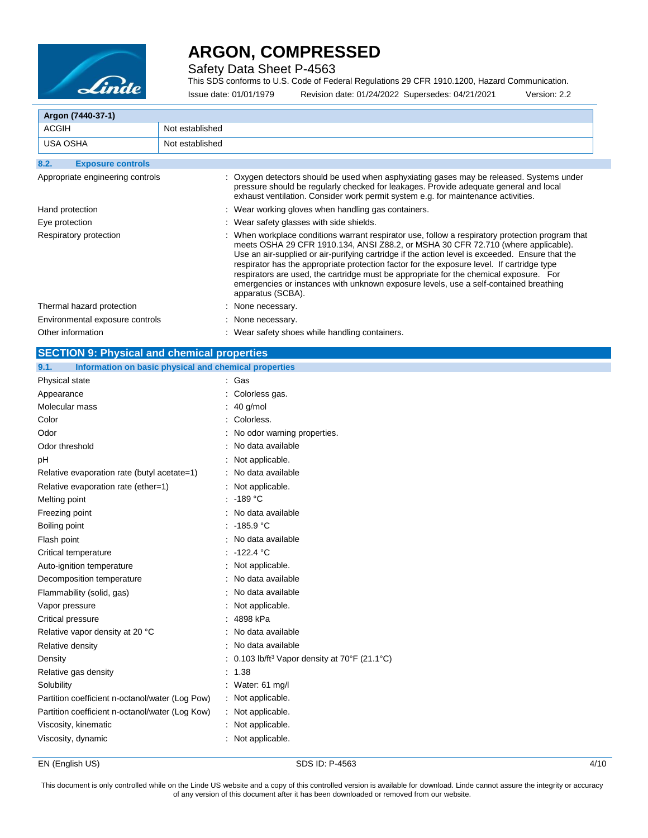

Safety Data Sheet P-4563

This SDS conforms to U.S. Code of Federal Regulations 29 CFR 1910.1200, Hazard Communication. Issue date: 01/01/1979 Revision date: 01/24/2022 Supersedes: 04/21/2021 Version: 2.2

 $\mathbb{R}^n$ 

| Argon (7440-37-1)                |                                                                                                                                                                                                                                                                                                                                                                                                                                                                                                                                                                                                |  |
|----------------------------------|------------------------------------------------------------------------------------------------------------------------------------------------------------------------------------------------------------------------------------------------------------------------------------------------------------------------------------------------------------------------------------------------------------------------------------------------------------------------------------------------------------------------------------------------------------------------------------------------|--|
| ACGIH                            | Not established                                                                                                                                                                                                                                                                                                                                                                                                                                                                                                                                                                                |  |
| <b>USA OSHA</b>                  | Not established                                                                                                                                                                                                                                                                                                                                                                                                                                                                                                                                                                                |  |
| 8.2.<br><b>Exposure controls</b> |                                                                                                                                                                                                                                                                                                                                                                                                                                                                                                                                                                                                |  |
| Appropriate engineering controls | : Oxygen detectors should be used when asphyxiating gases may be released. Systems under<br>pressure should be regularly checked for leakages. Provide adequate general and local<br>exhaust ventilation. Consider work permit system e.g. for maintenance activities.                                                                                                                                                                                                                                                                                                                         |  |
| Hand protection                  | : Wear working gloves when handling gas containers.                                                                                                                                                                                                                                                                                                                                                                                                                                                                                                                                            |  |
| Eye protection                   | : Wear safety glasses with side shields.                                                                                                                                                                                                                                                                                                                                                                                                                                                                                                                                                       |  |
| Respiratory protection           | : When workplace conditions warrant respirator use, follow a respiratory protection program that<br>meets OSHA 29 CFR 1910.134, ANSI Z88.2, or MSHA 30 CFR 72.710 (where applicable).<br>Use an air-supplied or air-purifying cartridge if the action level is exceeded. Ensure that the<br>respirator has the appropriate protection factor for the exposure level. If cartridge type<br>respirators are used, the cartridge must be appropriate for the chemical exposure. For<br>emergencies or instances with unknown exposure levels, use a self-contained breathing<br>apparatus (SCBA). |  |
| Thermal hazard protection        | : None necessary.                                                                                                                                                                                                                                                                                                                                                                                                                                                                                                                                                                              |  |
| Environmental exposure controls  | : None necessary.                                                                                                                                                                                                                                                                                                                                                                                                                                                                                                                                                                              |  |
| Other information                | : Wear safety shoes while handling containers.                                                                                                                                                                                                                                                                                                                                                                                                                                                                                                                                                 |  |

| <b>SECTION 9: Physical and chemical properties</b>            |                                                                     |      |
|---------------------------------------------------------------|---------------------------------------------------------------------|------|
| Information on basic physical and chemical properties<br>9.1. |                                                                     |      |
| Physical state                                                | : Gas                                                               |      |
| Appearance                                                    | Colorless gas.                                                      |      |
| Molecular mass                                                | 40 g/mol                                                            |      |
| Color                                                         | Colorless.                                                          |      |
| Odor                                                          | No odor warning properties.                                         |      |
| Odor threshold                                                | : No data available                                                 |      |
| рH                                                            | : Not applicable.                                                   |      |
| Relative evaporation rate (butyl acetate=1)                   | : No data available                                                 |      |
| Relative evaporation rate (ether=1)                           | : Not applicable.                                                   |      |
| Melting point                                                 | $: -189 °C$                                                         |      |
| Freezing point                                                | : No data available                                                 |      |
| Boiling point                                                 | : $-185.9$ °C                                                       |      |
| Flash point                                                   | : No data available                                                 |      |
| Critical temperature                                          | -122.4 °C                                                           |      |
| Auto-ignition temperature                                     | : Not applicable.                                                   |      |
| Decomposition temperature                                     | : No data available                                                 |      |
| Flammability (solid, gas)                                     | : No data available                                                 |      |
| Vapor pressure                                                | Not applicable.                                                     |      |
| Critical pressure                                             | : 4898 kPa                                                          |      |
| Relative vapor density at 20 °C                               | No data available                                                   |      |
| Relative density                                              | No data available                                                   |      |
| Density                                                       | : 0.103 lb/ft <sup>3</sup> Vapor density at $70^{\circ}$ F (21.1°C) |      |
| Relative gas density                                          | : 1.38                                                              |      |
| Solubility                                                    | : Water: 61 mg/l                                                    |      |
| Partition coefficient n-octanol/water (Log Pow)               | : Not applicable.                                                   |      |
| Partition coefficient n-octanol/water (Log Kow)               | : Not applicable.                                                   |      |
| Viscosity, kinematic                                          | : Not applicable.                                                   |      |
| Viscosity, dynamic                                            | : Not applicable.                                                   |      |
| EN (English US)                                               | SDS ID: P-4563                                                      | 4/10 |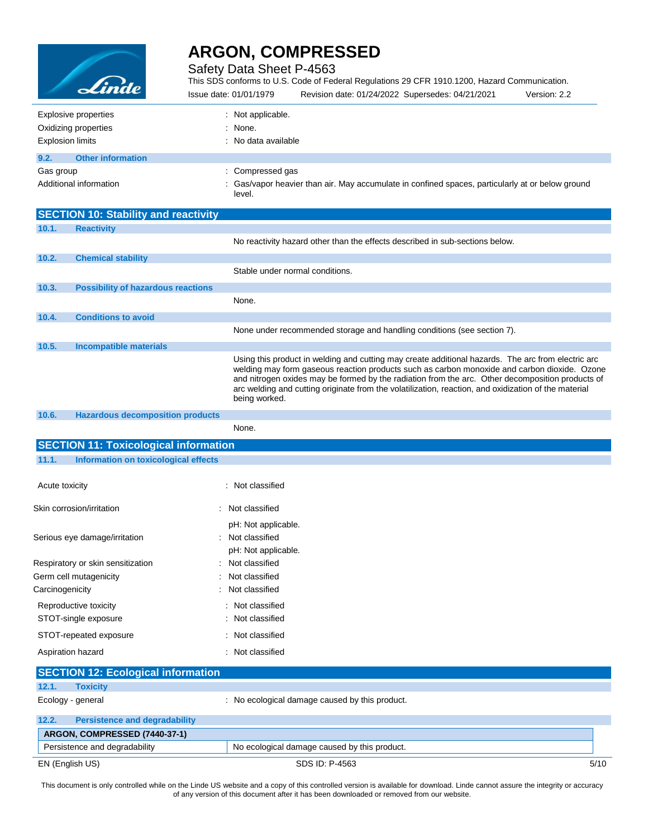

Safety Data Sheet P-4563

This SDS conforms to U.S. Code of Federal Regulations 29 CFR 1910.1200, Hazard Communication. Issue date: 01/01/1979 Revision date: 01/24/2022 Supersedes: 04/21/2021 Version: 2.2

| Explosive properties             | : Not applicable.                                                                                          |
|----------------------------------|------------------------------------------------------------------------------------------------------------|
| Oxidizing properties             | : None.                                                                                                    |
| <b>Explosion limits</b>          | : No data available                                                                                        |
| 9.2.<br><b>Other information</b> |                                                                                                            |
| Gas group                        | : Compressed gas                                                                                           |
| Additional information           | : Gas/vapor heavier than air. May accumulate in confined spaces, particularly at or below ground<br>level. |

|                 | <b>SECTION 10: Stability and reactivity</b>  |                                                                                                                                                                                                                                                                                                                                                                                                                                 |
|-----------------|----------------------------------------------|---------------------------------------------------------------------------------------------------------------------------------------------------------------------------------------------------------------------------------------------------------------------------------------------------------------------------------------------------------------------------------------------------------------------------------|
| 10.1.           | <b>Reactivity</b>                            |                                                                                                                                                                                                                                                                                                                                                                                                                                 |
|                 |                                              | No reactivity hazard other than the effects described in sub-sections below.                                                                                                                                                                                                                                                                                                                                                    |
| 10.2.           | <b>Chemical stability</b>                    |                                                                                                                                                                                                                                                                                                                                                                                                                                 |
|                 |                                              | Stable under normal conditions.                                                                                                                                                                                                                                                                                                                                                                                                 |
| 10.3.           | <b>Possibility of hazardous reactions</b>    |                                                                                                                                                                                                                                                                                                                                                                                                                                 |
|                 |                                              | None.                                                                                                                                                                                                                                                                                                                                                                                                                           |
| 10.4.           | <b>Conditions to avoid</b>                   |                                                                                                                                                                                                                                                                                                                                                                                                                                 |
|                 |                                              | None under recommended storage and handling conditions (see section 7).                                                                                                                                                                                                                                                                                                                                                         |
| 10.5.           | Incompatible materials                       |                                                                                                                                                                                                                                                                                                                                                                                                                                 |
|                 |                                              | Using this product in welding and cutting may create additional hazards. The arc from electric arc<br>welding may form gaseous reaction products such as carbon monoxide and carbon dioxide. Ozone<br>and nitrogen oxides may be formed by the radiation from the arc. Other decomposition products of<br>arc welding and cutting originate from the volatilization, reaction, and oxidization of the material<br>being worked. |
| 10.6.           | <b>Hazardous decomposition products</b>      |                                                                                                                                                                                                                                                                                                                                                                                                                                 |
|                 |                                              | None.                                                                                                                                                                                                                                                                                                                                                                                                                           |
|                 | <b>SECTION 11: Toxicological information</b> |                                                                                                                                                                                                                                                                                                                                                                                                                                 |
| 11.1.           | Information on toxicological effects         |                                                                                                                                                                                                                                                                                                                                                                                                                                 |
| Acute toxicity  |                                              | : Not classified                                                                                                                                                                                                                                                                                                                                                                                                                |
|                 | Skin corrosion/irritation                    | : Not classified                                                                                                                                                                                                                                                                                                                                                                                                                |
|                 |                                              | pH: Not applicable.                                                                                                                                                                                                                                                                                                                                                                                                             |
|                 | Serious eye damage/irritation                | : Not classified                                                                                                                                                                                                                                                                                                                                                                                                                |
|                 |                                              | pH: Not applicable.                                                                                                                                                                                                                                                                                                                                                                                                             |
|                 | Respiratory or skin sensitization            | Not classified                                                                                                                                                                                                                                                                                                                                                                                                                  |
|                 | Germ cell mutagenicity                       | Not classified                                                                                                                                                                                                                                                                                                                                                                                                                  |
| Carcinogenicity |                                              | Not classified                                                                                                                                                                                                                                                                                                                                                                                                                  |
|                 | Reproductive toxicity                        | : Not classified                                                                                                                                                                                                                                                                                                                                                                                                                |
|                 | STOT-single exposure                         | Not classified                                                                                                                                                                                                                                                                                                                                                                                                                  |
|                 | STOT-repeated exposure                       | Not classified                                                                                                                                                                                                                                                                                                                                                                                                                  |
|                 | Aspiration hazard                            | : Not classified                                                                                                                                                                                                                                                                                                                                                                                                                |
|                 | <b>SECTION 12: Ecological information</b>    |                                                                                                                                                                                                                                                                                                                                                                                                                                 |
| 12.1.           | <b>Toxicity</b>                              |                                                                                                                                                                                                                                                                                                                                                                                                                                 |
|                 | $E_{\text{colow}}$ conoral                   | No occlogical damage caused by this product                                                                                                                                                                                                                                                                                                                                                                                     |

|       | .                                    |                                                |      |
|-------|--------------------------------------|------------------------------------------------|------|
|       | Ecology - general                    | : No ecological damage caused by this product. |      |
| 12.2. | <b>Persistence and degradability</b> |                                                |      |
|       | ARGON, COMPRESSED (7440-37-1)        |                                                |      |
|       | Persistence and degradability        | No ecological damage caused by this product.   |      |
|       | EN (English US)                      | SDS ID: P-4563                                 | 5/10 |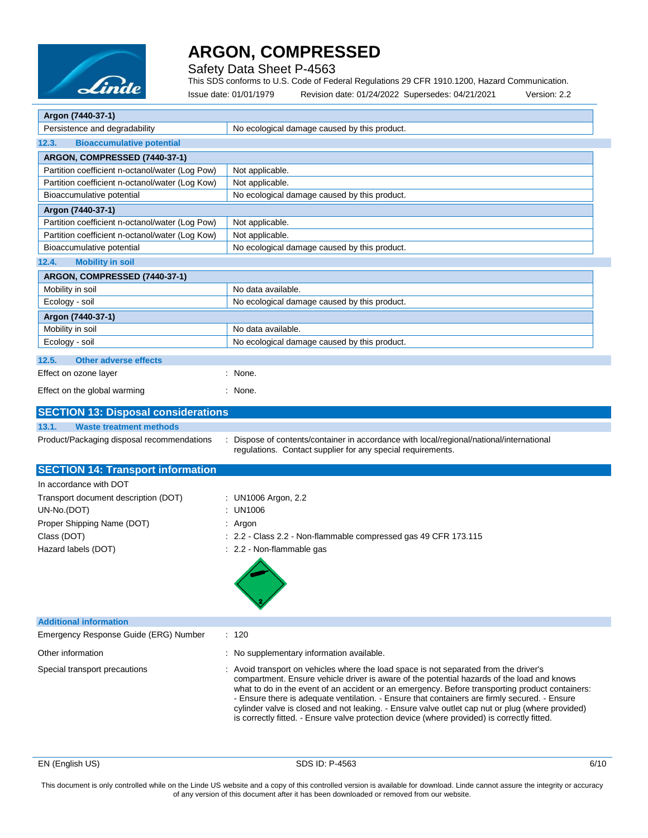

Safety Data Sheet P-4563

This SDS conforms to U.S. Code of Federal Regulations 29 CFR 1910.1200, Hazard Communication.

| Linue                                                                                              | Revision date: 01/24/2022 Supersedes: 04/21/2021<br>Version: 2.2<br>Issue date: 01/01/1979                                                                                                                                                                                                                                                                                                                                                                                                                                                                                                 |
|----------------------------------------------------------------------------------------------------|--------------------------------------------------------------------------------------------------------------------------------------------------------------------------------------------------------------------------------------------------------------------------------------------------------------------------------------------------------------------------------------------------------------------------------------------------------------------------------------------------------------------------------------------------------------------------------------------|
| Argon (7440-37-1)                                                                                  |                                                                                                                                                                                                                                                                                                                                                                                                                                                                                                                                                                                            |
| Persistence and degradability                                                                      | No ecological damage caused by this product.                                                                                                                                                                                                                                                                                                                                                                                                                                                                                                                                               |
| 12.3.<br><b>Bioaccumulative potential</b>                                                          |                                                                                                                                                                                                                                                                                                                                                                                                                                                                                                                                                                                            |
| ARGON, COMPRESSED (7440-37-1)                                                                      |                                                                                                                                                                                                                                                                                                                                                                                                                                                                                                                                                                                            |
| Partition coefficient n-octanol/water (Log Pow)                                                    | Not applicable.                                                                                                                                                                                                                                                                                                                                                                                                                                                                                                                                                                            |
| Partition coefficient n-octanol/water (Log Kow)                                                    | Not applicable.                                                                                                                                                                                                                                                                                                                                                                                                                                                                                                                                                                            |
| Bioaccumulative potential                                                                          | No ecological damage caused by this product.                                                                                                                                                                                                                                                                                                                                                                                                                                                                                                                                               |
| Argon (7440-37-1)                                                                                  |                                                                                                                                                                                                                                                                                                                                                                                                                                                                                                                                                                                            |
| Partition coefficient n-octanol/water (Log Pow)<br>Partition coefficient n-octanol/water (Log Kow) | Not applicable.<br>Not applicable.                                                                                                                                                                                                                                                                                                                                                                                                                                                                                                                                                         |
| Bioaccumulative potential                                                                          | No ecological damage caused by this product.                                                                                                                                                                                                                                                                                                                                                                                                                                                                                                                                               |
| <b>Mobility in soil</b><br>12.4.                                                                   |                                                                                                                                                                                                                                                                                                                                                                                                                                                                                                                                                                                            |
| ARGON, COMPRESSED (7440-37-1)                                                                      |                                                                                                                                                                                                                                                                                                                                                                                                                                                                                                                                                                                            |
| Mobility in soil                                                                                   | No data available.                                                                                                                                                                                                                                                                                                                                                                                                                                                                                                                                                                         |
| Ecology - soil                                                                                     | No ecological damage caused by this product.                                                                                                                                                                                                                                                                                                                                                                                                                                                                                                                                               |
| Argon (7440-37-1)                                                                                  |                                                                                                                                                                                                                                                                                                                                                                                                                                                                                                                                                                                            |
| Mobility in soil                                                                                   | No data available.                                                                                                                                                                                                                                                                                                                                                                                                                                                                                                                                                                         |
| Ecology - soil                                                                                     | No ecological damage caused by this product.                                                                                                                                                                                                                                                                                                                                                                                                                                                                                                                                               |
| 12.5.<br><b>Other adverse effects</b>                                                              |                                                                                                                                                                                                                                                                                                                                                                                                                                                                                                                                                                                            |
| Effect on ozone layer                                                                              | : None.                                                                                                                                                                                                                                                                                                                                                                                                                                                                                                                                                                                    |
| Effect on the global warming                                                                       | : None.                                                                                                                                                                                                                                                                                                                                                                                                                                                                                                                                                                                    |
|                                                                                                    |                                                                                                                                                                                                                                                                                                                                                                                                                                                                                                                                                                                            |
| <b>SECTION 13: Disposal considerations</b>                                                         |                                                                                                                                                                                                                                                                                                                                                                                                                                                                                                                                                                                            |
| <b>Waste treatment methods</b><br>13.1.                                                            |                                                                                                                                                                                                                                                                                                                                                                                                                                                                                                                                                                                            |
| Product/Packaging disposal recommendations                                                         | Dispose of contents/container in accordance with local/regional/national/international<br>regulations. Contact supplier for any special requirements.                                                                                                                                                                                                                                                                                                                                                                                                                                      |
| <b>SECTION 14: Transport information</b>                                                           |                                                                                                                                                                                                                                                                                                                                                                                                                                                                                                                                                                                            |
| In accordance with DOT                                                                             |                                                                                                                                                                                                                                                                                                                                                                                                                                                                                                                                                                                            |
| Transport document description (DOT)                                                               | : UN1006 Argon, 2.2                                                                                                                                                                                                                                                                                                                                                                                                                                                                                                                                                                        |
| UN-No.(DOT)                                                                                        | : UN1006                                                                                                                                                                                                                                                                                                                                                                                                                                                                                                                                                                                   |
| Proper Shipping Name (DOT)                                                                         | : Argon                                                                                                                                                                                                                                                                                                                                                                                                                                                                                                                                                                                    |
| Class (DOT)                                                                                        | : 2.2 - Class 2.2 - Non-flammable compressed gas 49 CFR 173.115                                                                                                                                                                                                                                                                                                                                                                                                                                                                                                                            |
| Hazard labels (DOT)                                                                                | : 2.2 - Non-flammable gas                                                                                                                                                                                                                                                                                                                                                                                                                                                                                                                                                                  |
| <b>Additional information</b>                                                                      |                                                                                                                                                                                                                                                                                                                                                                                                                                                                                                                                                                                            |
| Emergency Response Guide (ERG) Number                                                              | : 120                                                                                                                                                                                                                                                                                                                                                                                                                                                                                                                                                                                      |
| Other information                                                                                  | : No supplementary information available.                                                                                                                                                                                                                                                                                                                                                                                                                                                                                                                                                  |
| Special transport precautions                                                                      | : Avoid transport on vehicles where the load space is not separated from the driver's<br>compartment. Ensure vehicle driver is aware of the potential hazards of the load and knows<br>what to do in the event of an accident or an emergency. Before transporting product containers:<br>- Ensure there is adequate ventilation. - Ensure that containers are firmly secured. - Ensure<br>cylinder valve is closed and not leaking. - Ensure valve outlet cap nut or plug (where provided)<br>is correctly fitted. - Ensure valve protection device (where provided) is correctly fitted. |

EN (English US) SDS ID: P-4563 6/10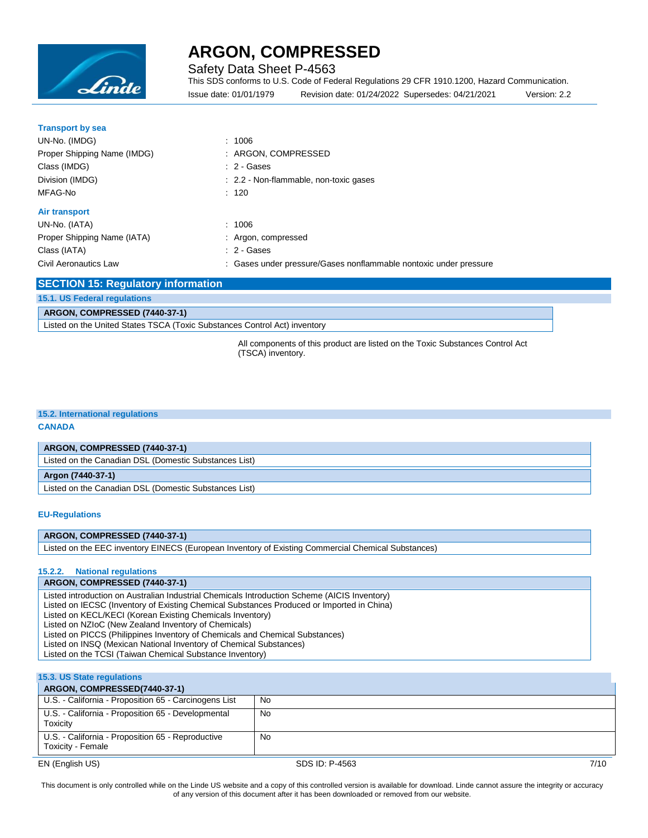

Safety Data Sheet P-4563

This SDS conforms to U.S. Code of Federal Regulations 29 CFR 1910.1200, Hazard Communication. Issue date: 01/01/1979 Revision date: 01/24/2022 Supersedes: 04/21/2021 Version: 2.2

| <b>Transport by sea</b>      |                                                                   |
|------------------------------|-------------------------------------------------------------------|
| UN-No. (IMDG)                | : 1006                                                            |
| Proper Shipping Name (IMDG)  | : ARGON, COMPRESSED                                               |
| Class (IMDG)                 | $: 2 - \text{Gases}$                                              |
| Division (IMDG)              | : 2.2 - Non-flammable, non-toxic gases                            |
| MFAG-No                      | : 120                                                             |
| Air transport                |                                                                   |
| UN-No. (IATA)                | : 1006                                                            |
| Proper Shipping Name (IATA)  | : Argon, compressed                                               |
| Class (IATA)                 | $: 2 - \text{Gases}$                                              |
| <b>Civil Aeronautics Law</b> | : Gases under pressure/Gases nonflammable nontoxic under pressure |

| <b>SECTION 15: Regulatory information</b>                                 |  |
|---------------------------------------------------------------------------|--|
| 15.1. US Federal regulations                                              |  |
| ARGON, COMPRESSED (7440-37-1)                                             |  |
| Listed on the United States TSCA (Toxic Substances Control Act) inventory |  |

All components of this product are listed on the Toxic Substances Control Act (TSCA) inventory.

### **15.2. International regulations**

#### **CANADA**

#### **ARGON, COMPRESSED (7440-37-1)**

Listed on the Canadian DSL (Domestic Substances List)

#### **Argon (7440-37-1)**

Listed on the Canadian DSL (Domestic Substances List)

#### **EU-Regulations**

#### **ARGON, COMPRESSED (7440-37-1)**

Listed on the EEC inventory EINECS (European Inventory of Existing Commercial Chemical Substances)

#### **15.2.2. National regulations**

#### **ARGON, COMPRESSED (7440-37-1)**

Listed introduction on Australian Industrial Chemicals Introduction Scheme (AICIS Inventory)

Listed on IECSC (Inventory of Existing Chemical Substances Produced or Imported in China)

Listed on KECL/KECI (Korean Existing Chemicals Inventory)

Listed on NZIoC (New Zealand Inventory of Chemicals)

Listed on PICCS (Philippines Inventory of Chemicals and Chemical Substances)

Listed on INSQ (Mexican National Inventory of Chemical Substances) Listed on the TCSI (Taiwan Chemical Substance Inventory)

#### **15.3. US State regulations**

#### EN (English US) SDS ID: P-4563 7/10 **ARGON, COMPRESSED(7440-37-1)** U.S. - California - Proposition 65 - Carcinogens List | No U.S. - California - Proposition 65 - Developmental **Toxicity** No U.S. - California - Proposition 65 - Reproductive Toxicity - Female No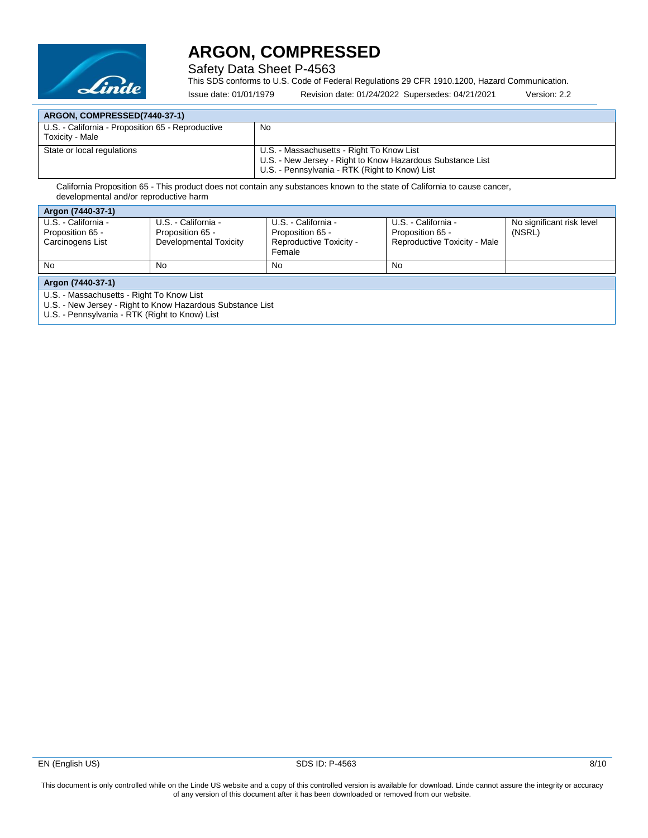

Safety Data Sheet P-4563

This SDS conforms to U.S. Code of Federal Regulations 29 CFR 1910.1200, Hazard Communication.

Issue date: 01/01/1979 Revision date: 01/24/2022 Supersedes: 04/21/2021 Version: 2.2

| ARGON, COMPRESSED(7440-37-1)                                         |                                                            |  |
|----------------------------------------------------------------------|------------------------------------------------------------|--|
| U.S. - California - Proposition 65 - Reproductive<br>Toxicity - Male | No.                                                        |  |
| State or local regulations                                           | U.S. - Massachusetts - Right To Know List                  |  |
|                                                                      | U.S. - New Jersey - Right to Know Hazardous Substance List |  |
|                                                                      | U.S. - Pennsylvania - RTK (Right to Know) List             |  |

California Proposition 65 - This product does not contain any substances known to the state of California to cause cancer, developmental and/or reproductive harm

| Argon (7440-37-1)                                           |                                                                   |                                                                              |                                                                         |                                     |
|-------------------------------------------------------------|-------------------------------------------------------------------|------------------------------------------------------------------------------|-------------------------------------------------------------------------|-------------------------------------|
| U.S. - California -<br>Proposition 65 -<br>Carcinogens List | U.S. - California -<br>Proposition 65 -<br>Developmental Toxicity | U.S. - California -<br>Proposition 65 -<br>Reproductive Toxicity -<br>Female | U.S. - California -<br>Proposition 65 -<br>Reproductive Toxicity - Male | No significant risk level<br>(NSRL) |
| No                                                          | No                                                                | No                                                                           | No                                                                      |                                     |
| Argon (7440-37-1)                                           |                                                                   |                                                                              |                                                                         |                                     |

U.S. - Massachusetts - Right To Know List

U.S. - New Jersey - Right to Know Hazardous Substance List

U.S. - Pennsylvania - RTK (Right to Know) List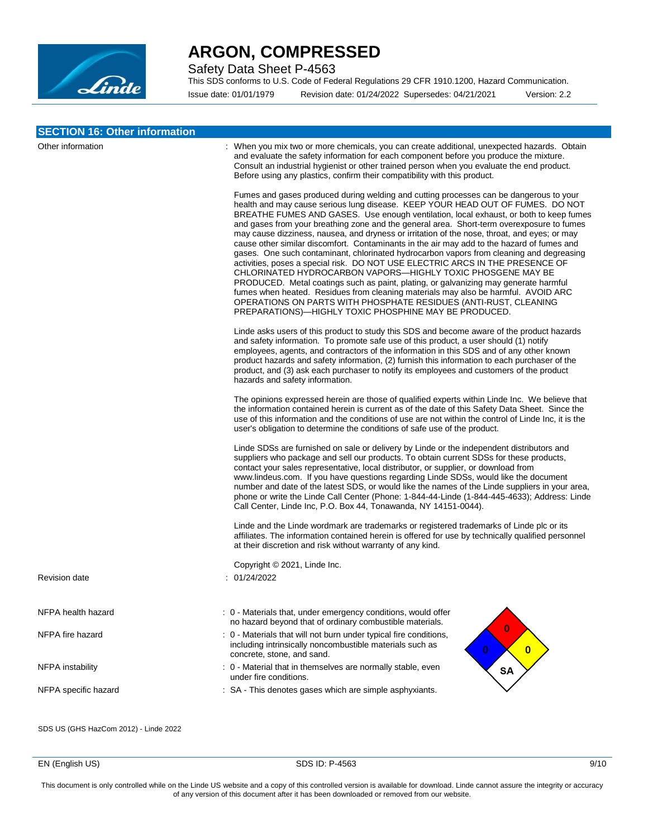

Safety Data Sheet P-4563

This SDS conforms to U.S. Code of Federal Regulations 29 CFR 1910.1200, Hazard Communication.

Issue date: 01/01/1979 Revision date: 01/24/2022 Supersedes: 04/21/2021 Version: 2.2

| <b>SECTION 16: Other information</b> |                                                                                                                                                                                                                                                                                                                                                                                                                                                                                                                                                                                                                                                                                                                                                                                                                                                                                                                                                                                                                                                                                                                     |
|--------------------------------------|---------------------------------------------------------------------------------------------------------------------------------------------------------------------------------------------------------------------------------------------------------------------------------------------------------------------------------------------------------------------------------------------------------------------------------------------------------------------------------------------------------------------------------------------------------------------------------------------------------------------------------------------------------------------------------------------------------------------------------------------------------------------------------------------------------------------------------------------------------------------------------------------------------------------------------------------------------------------------------------------------------------------------------------------------------------------------------------------------------------------|
| Other information                    | : When you mix two or more chemicals, you can create additional, unexpected hazards. Obtain<br>and evaluate the safety information for each component before you produce the mixture.<br>Consult an industrial hygienist or other trained person when you evaluate the end product.<br>Before using any plastics, confirm their compatibility with this product.                                                                                                                                                                                                                                                                                                                                                                                                                                                                                                                                                                                                                                                                                                                                                    |
|                                      | Fumes and gases produced during welding and cutting processes can be dangerous to your<br>health and may cause serious lung disease. KEEP YOUR HEAD OUT OF FUMES. DO NOT<br>BREATHE FUMES AND GASES. Use enough ventilation, local exhaust, or both to keep fumes<br>and gases from your breathing zone and the general area. Short-term overexposure to fumes<br>may cause dizziness, nausea, and dryness or irritation of the nose, throat, and eyes; or may<br>cause other similar discomfort. Contaminants in the air may add to the hazard of fumes and<br>gases. One such contaminant, chlorinated hydrocarbon vapors from cleaning and degreasing<br>activities, poses a special risk. DO NOT USE ELECTRIC ARCS IN THE PRESENCE OF<br>CHLORINATED HYDROCARBON VAPORS-HIGHLY TOXIC PHOSGENE MAY BE<br>PRODUCED. Metal coatings such as paint, plating, or galvanizing may generate harmful<br>fumes when heated. Residues from cleaning materials may also be harmful. AVOID ARC<br>OPERATIONS ON PARTS WITH PHOSPHATE RESIDUES (ANTI-RUST, CLEANING<br>PREPARATIONS)—HIGHLY TOXIC PHOSPHINE MAY BE PRODUCED. |
|                                      | Linde asks users of this product to study this SDS and become aware of the product hazards<br>and safety information. To promote safe use of this product, a user should (1) notify<br>employees, agents, and contractors of the information in this SDS and of any other known<br>product hazards and safety information, (2) furnish this information to each purchaser of the<br>product, and (3) ask each purchaser to notify its employees and customers of the product<br>hazards and safety information.                                                                                                                                                                                                                                                                                                                                                                                                                                                                                                                                                                                                     |
|                                      | The opinions expressed herein are those of qualified experts within Linde Inc. We believe that<br>the information contained herein is current as of the date of this Safety Data Sheet. Since the<br>use of this information and the conditions of use are not within the control of Linde Inc, it is the<br>user's obligation to determine the conditions of safe use of the product.                                                                                                                                                                                                                                                                                                                                                                                                                                                                                                                                                                                                                                                                                                                              |
|                                      | Linde SDSs are furnished on sale or delivery by Linde or the independent distributors and<br>suppliers who package and sell our products. To obtain current SDSs for these products,<br>contact your sales representative, local distributor, or supplier, or download from<br>www.lindeus.com. If you have questions regarding Linde SDSs, would like the document<br>number and date of the latest SDS, or would like the names of the Linde suppliers in your area,<br>phone or write the Linde Call Center (Phone: 1-844-44-Linde (1-844-445-4633); Address: Linde<br>Call Center, Linde Inc, P.O. Box 44, Tonawanda, NY 14151-0044).                                                                                                                                                                                                                                                                                                                                                                                                                                                                           |
|                                      | Linde and the Linde wordmark are trademarks or registered trademarks of Linde plc or its<br>affiliates. The information contained herein is offered for use by technically qualified personnel<br>at their discretion and risk without warranty of any kind.                                                                                                                                                                                                                                                                                                                                                                                                                                                                                                                                                                                                                                                                                                                                                                                                                                                        |
| <b>Revision date</b>                 | Copyright © 2021, Linde Inc.<br>: 01/24/2022                                                                                                                                                                                                                                                                                                                                                                                                                                                                                                                                                                                                                                                                                                                                                                                                                                                                                                                                                                                                                                                                        |
|                                      |                                                                                                                                                                                                                                                                                                                                                                                                                                                                                                                                                                                                                                                                                                                                                                                                                                                                                                                                                                                                                                                                                                                     |
| NFPA health hazard                   | : 0 - Materials that, under emergency conditions, would offer<br>no hazard beyond that of ordinary combustible materials.                                                                                                                                                                                                                                                                                                                                                                                                                                                                                                                                                                                                                                                                                                                                                                                                                                                                                                                                                                                           |
| NFPA fire hazard                     | $\bf{0}$<br>: 0 - Materials that will not burn under typical fire conditions,<br>including intrinsically noncombustible materials such as<br>$\mathbf{0}$<br>$\mathbf{0}$<br>concrete, stone, and sand.                                                                                                                                                                                                                                                                                                                                                                                                                                                                                                                                                                                                                                                                                                                                                                                                                                                                                                             |
| NFPA instability                     | : 0 - Material that in themselves are normally stable, even<br><b>SA</b><br>under fire conditions.                                                                                                                                                                                                                                                                                                                                                                                                                                                                                                                                                                                                                                                                                                                                                                                                                                                                                                                                                                                                                  |
| NFPA specific hazard                 | : SA - This denotes gases which are simple asphyxiants.                                                                                                                                                                                                                                                                                                                                                                                                                                                                                                                                                                                                                                                                                                                                                                                                                                                                                                                                                                                                                                                             |

SDS US (GHS HazCom 2012) - Linde 2022

EN (English US) SDS ID: P-4563 9/10